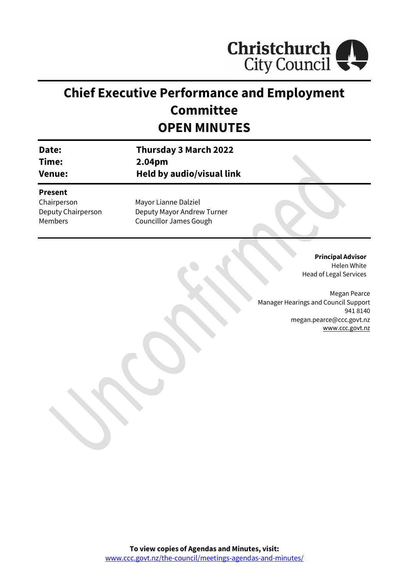

# **Chief Executive Performance and Employment Committee OPEN MINUTES**

| Date:              | <b>Thursday 3 March 2022</b>  |  |
|--------------------|-------------------------------|--|
| Time:              | 2.04pm                        |  |
| <b>Venue:</b>      | Held by audio/visual link     |  |
| <b>Present</b>     |                               |  |
| Chairperson        | Mayor Lianne Dalziel          |  |
| Deputy Chairperson | Deputy Mayor Andrew Turner    |  |
| Members            | <b>Councillor James Gough</b> |  |

**Principal Advisor** Helen White Head of Legal Services

Megan Pearce Manager Hearings and Council Support 941 8140 megan.pearce@ccc.govt.nz [www.ccc.govt.nz](http://www.ccc.govt.nz/)